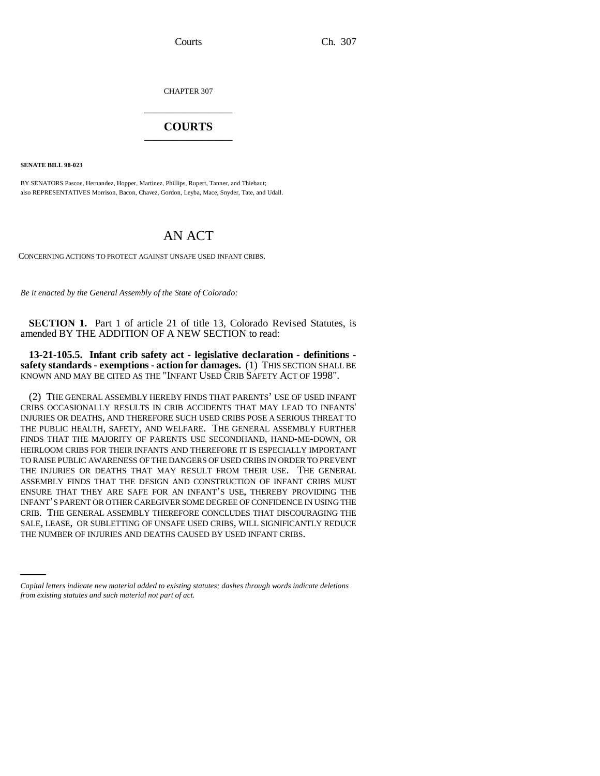CHAPTER 307 \_\_\_\_\_\_\_\_\_\_\_\_\_\_\_

## **COURTS** \_\_\_\_\_\_\_\_\_\_\_\_\_\_\_

**SENATE BILL 98-023**

BY SENATORS Pascoe, Hernandez, Hopper, Martinez, Phillips, Rupert, Tanner, and Thiebaut; also REPRESENTATIVES Morrison, Bacon, Chavez, Gordon, Leyba, Mace, Snyder, Tate, and Udall.

## AN ACT

CONCERNING ACTIONS TO PROTECT AGAINST UNSAFE USED INFANT CRIBS.

*Be it enacted by the General Assembly of the State of Colorado:*

**SECTION 1.** Part 1 of article 21 of title 13, Colorado Revised Statutes, is amended BY THE ADDITION OF A NEW SECTION to read:

**13-21-105.5. Infant crib safety act - legislative declaration - definitions**  safety standards - exemptions - action for damages. (1) THIS SECTION SHALL BE KNOWN AND MAY BE CITED AS THE "INFANT USED CRIB SAFETY ACT OF 1998".

SALE, LEASE, OR SUBLETTING OF UNSAFE USED CRIBS, WILL SIGNIFICANTLY REDUCE (2) THE GENERAL ASSEMBLY HEREBY FINDS THAT PARENTS' USE OF USED INFANT CRIBS OCCASIONALLY RESULTS IN CRIB ACCIDENTS THAT MAY LEAD TO INFANTS' INJURIES OR DEATHS, AND THEREFORE SUCH USED CRIBS POSE A SERIOUS THREAT TO THE PUBLIC HEALTH, SAFETY, AND WELFARE. THE GENERAL ASSEMBLY FURTHER FINDS THAT THE MAJORITY OF PARENTS USE SECONDHAND, HAND-ME-DOWN, OR HEIRLOOM CRIBS FOR THEIR INFANTS AND THEREFORE IT IS ESPECIALLY IMPORTANT TO RAISE PUBLIC AWARENESS OF THE DANGERS OF USED CRIBS IN ORDER TO PREVENT THE INJURIES OR DEATHS THAT MAY RESULT FROM THEIR USE. THE GENERAL ASSEMBLY FINDS THAT THE DESIGN AND CONSTRUCTION OF INFANT CRIBS MUST ENSURE THAT THEY ARE SAFE FOR AN INFANT'S USE, THEREBY PROVIDING THE INFANT'S PARENT OR OTHER CAREGIVER SOME DEGREE OF CONFIDENCE IN USING THE CRIB. THE GENERAL ASSEMBLY THEREFORE CONCLUDES THAT DISCOURAGING THE THE NUMBER OF INJURIES AND DEATHS CAUSED BY USED INFANT CRIBS.

*Capital letters indicate new material added to existing statutes; dashes through words indicate deletions from existing statutes and such material not part of act.*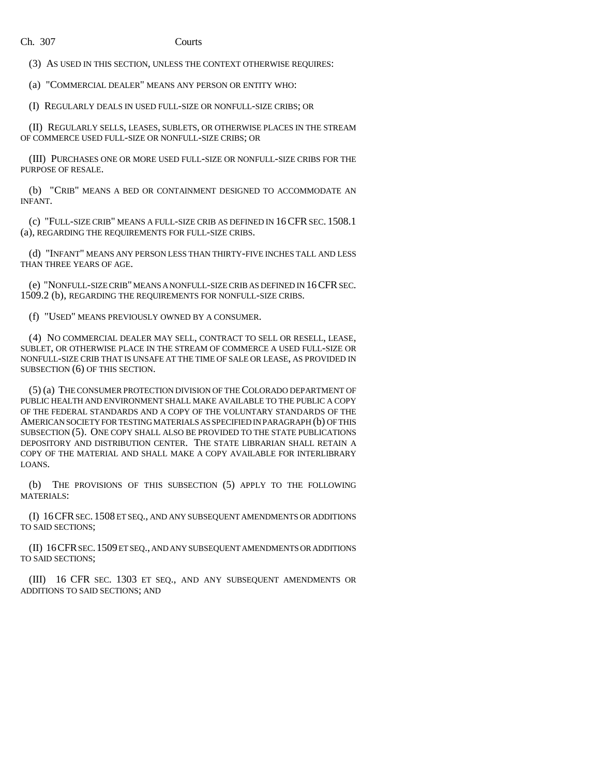(3) AS USED IN THIS SECTION, UNLESS THE CONTEXT OTHERWISE REQUIRES:

(a) "COMMERCIAL DEALER" MEANS ANY PERSON OR ENTITY WHO:

(I) REGULARLY DEALS IN USED FULL-SIZE OR NONFULL-SIZE CRIBS; OR

(II) REGULARLY SELLS, LEASES, SUBLETS, OR OTHERWISE PLACES IN THE STREAM OF COMMERCE USED FULL-SIZE OR NONFULL-SIZE CRIBS; OR

(III) PURCHASES ONE OR MORE USED FULL-SIZE OR NONFULL-SIZE CRIBS FOR THE PURPOSE OF RESALE.

(b) "CRIB" MEANS A BED OR CONTAINMENT DESIGNED TO ACCOMMODATE AN INFANT.

(c) "FULL-SIZE CRIB" MEANS A FULL-SIZE CRIB AS DEFINED IN 16CFR SEC. 1508.1 (a), REGARDING THE REQUIREMENTS FOR FULL-SIZE CRIBS.

(d) "INFANT" MEANS ANY PERSON LESS THAN THIRTY-FIVE INCHES TALL AND LESS THAN THREE YEARS OF AGE.

(e) "NONFULL-SIZE CRIB" MEANS A NONFULL-SIZE CRIB AS DEFINED IN 16CFR SEC. 1509.2 (b), REGARDING THE REQUIREMENTS FOR NONFULL-SIZE CRIBS.

(f) "USED" MEANS PREVIOUSLY OWNED BY A CONSUMER.

(4) NO COMMERCIAL DEALER MAY SELL, CONTRACT TO SELL OR RESELL, LEASE, SUBLET, OR OTHERWISE PLACE IN THE STREAM OF COMMERCE A USED FULL-SIZE OR NONFULL-SIZE CRIB THAT IS UNSAFE AT THE TIME OF SALE OR LEASE, AS PROVIDED IN SUBSECTION (6) OF THIS SECTION.

(5) (a) THE CONSUMER PROTECTION DIVISION OF THE COLORADO DEPARTMENT OF PUBLIC HEALTH AND ENVIRONMENT SHALL MAKE AVAILABLE TO THE PUBLIC A COPY OF THE FEDERAL STANDARDS AND A COPY OF THE VOLUNTARY STANDARDS OF THE AMERICAN SOCIETY FOR TESTING MATERIALS AS SPECIFIED IN PARAGRAPH (b) OF THIS SUBSECTION (5). ONE COPY SHALL ALSO BE PROVIDED TO THE STATE PUBLICATIONS DEPOSITORY AND DISTRIBUTION CENTER. THE STATE LIBRARIAN SHALL RETAIN A COPY OF THE MATERIAL AND SHALL MAKE A COPY AVAILABLE FOR INTERLIBRARY LOANS.

(b) THE PROVISIONS OF THIS SUBSECTION (5) APPLY TO THE FOLLOWING MATERIALS:

(I) 16CFR SEC. 1508 ET SEQ., AND ANY SUBSEQUENT AMENDMENTS OR ADDITIONS TO SAID SECTIONS;

(II) 16CFR SEC.1509 ET SEQ., AND ANY SUBSEQUENT AMENDMENTS OR ADDITIONS TO SAID SECTIONS;

(III) 16 CFR SEC. 1303 ET SEQ., AND ANY SUBSEQUENT AMENDMENTS OR ADDITIONS TO SAID SECTIONS; AND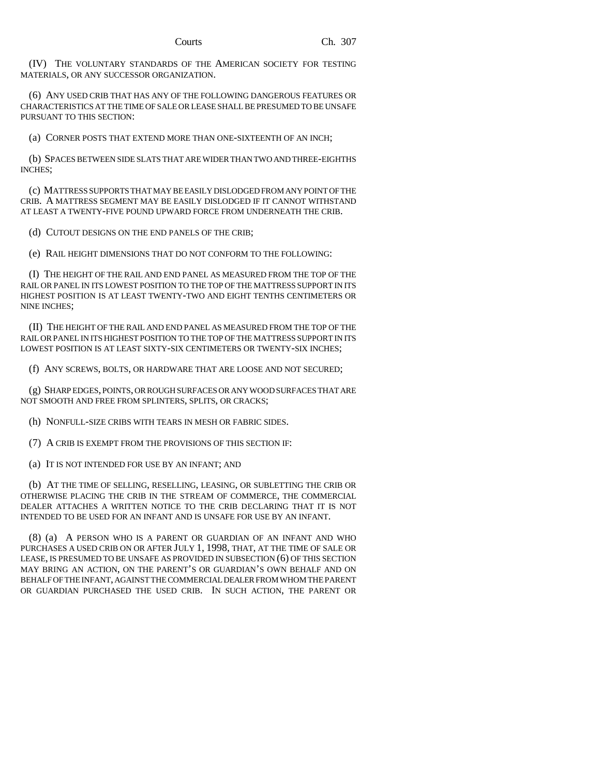(IV) THE VOLUNTARY STANDARDS OF THE AMERICAN SOCIETY FOR TESTING MATERIALS, OR ANY SUCCESSOR ORGANIZATION.

(6) ANY USED CRIB THAT HAS ANY OF THE FOLLOWING DANGEROUS FEATURES OR CHARACTERISTICS AT THE TIME OF SALE OR LEASE SHALL BE PRESUMED TO BE UNSAFE PURSUANT TO THIS SECTION:

(a) CORNER POSTS THAT EXTEND MORE THAN ONE-SIXTEENTH OF AN INCH;

(b) SPACES BETWEEN SIDE SLATS THAT ARE WIDER THAN TWO AND THREE-EIGHTHS INCHES;

(c) MATTRESS SUPPORTS THAT MAY BE EASILY DISLODGED FROM ANY POINT OF THE CRIB. A MATTRESS SEGMENT MAY BE EASILY DISLODGED IF IT CANNOT WITHSTAND AT LEAST A TWENTY-FIVE POUND UPWARD FORCE FROM UNDERNEATH THE CRIB.

(d) CUTOUT DESIGNS ON THE END PANELS OF THE CRIB;

(e) RAIL HEIGHT DIMENSIONS THAT DO NOT CONFORM TO THE FOLLOWING:

(I) THE HEIGHT OF THE RAIL AND END PANEL AS MEASURED FROM THE TOP OF THE RAIL OR PANEL IN ITS LOWEST POSITION TO THE TOP OF THE MATTRESS SUPPORT IN ITS HIGHEST POSITION IS AT LEAST TWENTY-TWO AND EIGHT TENTHS CENTIMETERS OR NINE INCHES;

(II) THE HEIGHT OF THE RAIL AND END PANEL AS MEASURED FROM THE TOP OF THE RAIL OR PANEL IN ITS HIGHEST POSITION TO THE TOP OF THE MATTRESS SUPPORT IN ITS LOWEST POSITION IS AT LEAST SIXTY-SIX CENTIMETERS OR TWENTY-SIX INCHES;

(f) ANY SCREWS, BOLTS, OR HARDWARE THAT ARE LOOSE AND NOT SECURED;

(g) SHARP EDGES, POINTS, OR ROUGH SURFACES OR ANY WOOD SURFACES THAT ARE NOT SMOOTH AND FREE FROM SPLINTERS, SPLITS, OR CRACKS;

(h) NONFULL-SIZE CRIBS WITH TEARS IN MESH OR FABRIC SIDES.

(7) A CRIB IS EXEMPT FROM THE PROVISIONS OF THIS SECTION IF:

(a) IT IS NOT INTENDED FOR USE BY AN INFANT; AND

(b) AT THE TIME OF SELLING, RESELLING, LEASING, OR SUBLETTING THE CRIB OR OTHERWISE PLACING THE CRIB IN THE STREAM OF COMMERCE, THE COMMERCIAL DEALER ATTACHES A WRITTEN NOTICE TO THE CRIB DECLARING THAT IT IS NOT INTENDED TO BE USED FOR AN INFANT AND IS UNSAFE FOR USE BY AN INFANT.

(8) (a) A PERSON WHO IS A PARENT OR GUARDIAN OF AN INFANT AND WHO PURCHASES A USED CRIB ON OR AFTER JULY 1, 1998, THAT, AT THE TIME OF SALE OR LEASE, IS PRESUMED TO BE UNSAFE AS PROVIDED IN SUBSECTION (6) OF THIS SECTION MAY BRING AN ACTION, ON THE PARENT'S OR GUARDIAN'S OWN BEHALF AND ON BEHALF OF THE INFANT, AGAINST THE COMMERCIAL DEALER FROM WHOM THE PARENT OR GUARDIAN PURCHASED THE USED CRIB. IN SUCH ACTION, THE PARENT OR